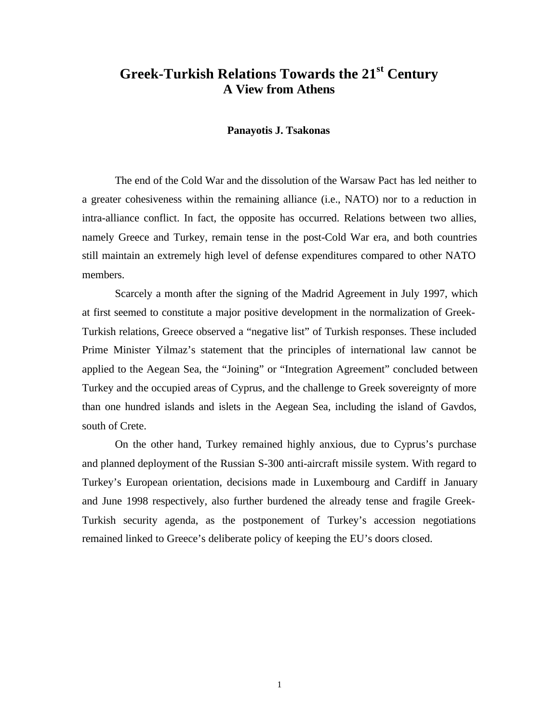# **Greek-Turkish Relations Towards the 21st Century A View from Athens**

## **Panayotis J. Tsakonas**

The end of the Cold War and the dissolution of the Warsaw Pact has led neither to a greater cohesiveness within the remaining alliance (i.e., NATO) nor to a reduction in intra-alliance conflict. In fact, the opposite has occurred. Relations between two allies, namely Greece and Turkey, remain tense in the post-Cold War era, and both countries still maintain an extremely high level of defense expenditures compared to other NATO members.

Scarcely a month after the signing of the Madrid Agreement in July 1997, which at first seemed to constitute a major positive development in the normalization of Greek-Turkish relations, Greece observed a "negative list" of Turkish responses. These included Prime Minister Yilmaz's statement that the principles of international law cannot be applied to the Aegean Sea, the "Joining" or "Integration Agreement" concluded between Turkey and the occupied areas of Cyprus, and the challenge to Greek sovereignty of more than one hundred islands and islets in the Aegean Sea, including the island of Gavdos, south of Crete.

On the other hand, Turkey remained highly anxious, due to Cyprus's purchase and planned deployment of the Russian S-300 anti-aircraft missile system. With regard to Turkey's European orientation, decisions made in Luxembourg and Cardiff in January and June 1998 respectively, also further burdened the already tense and fragile Greek-Turkish security agenda, as the postponement of Turkey's accession negotiations remained linked to Greece's deliberate policy of keeping the EU's doors closed.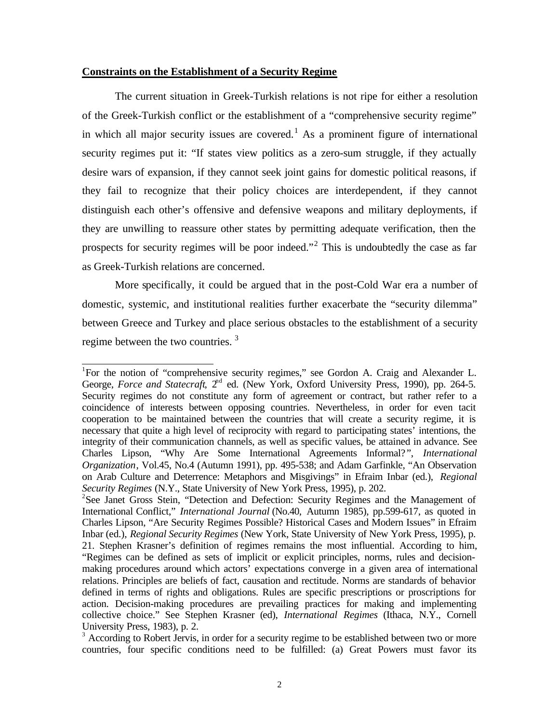## **Constraints on the Establishment of a Security Regime**

The current situation in Greek-Turkish relations is not ripe for either a resolution of the Greek-Turkish conflict or the establishment of a "comprehensive security regime" in which all major security issues are covered.<sup>1</sup> As a prominent figure of international security regimes put it: "If states view politics as a zero-sum struggle, if they actually desire wars of expansion, if they cannot seek joint gains for domestic political reasons, if they fail to recognize that their policy choices are interdependent, if they cannot distinguish each other's offensive and defensive weapons and military deployments, if they are unwilling to reassure other states by permitting adequate verification, then the prospects for security regimes will be poor indeed."<sup>2</sup> This is undoubtedly the case as far as Greek-Turkish relations are concerned.

More specifically, it could be argued that in the post-Cold War era a number of domestic, systemic, and institutional realities further exacerbate the "security dilemma" between Greece and Turkey and place serious obstacles to the establishment of a security regime between the two countries.<sup>3</sup>

<sup>&</sup>lt;sup>1</sup>For the notion of "comprehensive security regimes," see Gordon A. Craig and Alexander L. George, *Force and Statecraft*, 2<sup>nd</sup> ed. (New York, Oxford University Press, 1990), pp. 264-5. Security regimes do not constitute any form of agreement or contract, but rather refer to a coincidence of interests between opposing countries. Nevertheless, in order for even tacit cooperation to be maintained between the countries that will create a security regime, it is necessary that quite a high level of reciprocity with regard to participating states' intentions, the integrity of their communication channels, as well as specific values, be attained in advance. See Charles Lipson, "Why Are Some International Agreements Informal? ", *International Organization*, Vol.45, No.4 (Autumn 1991), pp. 495-538; and Adam Garfinkle, "An Observation on Arab Culture and Deterrence: Metaphors and Misgivings" in Efraim Inbar (ed.), *Regional Security Regimes* (N.Y., State University of New York Press, 1995), p. 202.

<sup>&</sup>lt;sup>2</sup>See Janet Gross Stein, "Detection and Defection: Security Regimes and the Management of International Conflict," *International Journal* (No.40, Autumn 1985), pp.599-617, as quoted in Charles Lipson, "Are Security Regimes Possible? Historical Cases and Modern Issues" in Efraim Inbar (ed.), *Regional Security Regimes* (New York, State University of New York Press, 1995), p. 21. Stephen Krasner's definition of regimes remains the most influential. According to him, "Regimes can be defined as sets of implicit or explicit principles, norms, rules and decisionmaking procedures around which actors' expectations converge in a given area of international relations. Principles are beliefs of fact, causation and rectitude. Norms are standards of behavior defined in terms of rights and obligations. Rules are specific prescriptions or proscriptions for action. Decision-making procedures are prevailing practices for making and implementing collective choice." See Stephen Krasner (ed), *International Regimes* (Ithaca, N.Y., Cornell University Press, 1983), p. 2.

<sup>&</sup>lt;sup>3</sup> According to Robert Jervis, in order for a security regime to be established between two or more countries, four specific conditions need to be fulfilled: (a) Great Powers must favor its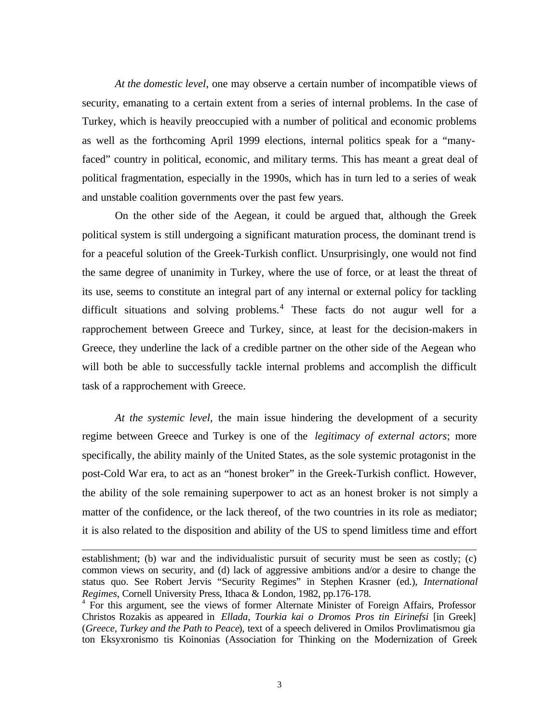*At the domestic level*, one may observe a certain number of incompatible views of security, emanating to a certain extent from a series of internal problems. In the case of Turkey, which is heavily preoccupied with a number of political and economic problems as well as the forthcoming April 1999 elections, internal politics speak for a "manyfaced" country in political, economic, and military terms. This has meant a great deal of political fragmentation, especially in the 1990s, which has in turn led to a series of weak and unstable coalition governments over the past few years.

On the other side of the Aegean, it could be argued that, although the Greek political system is still undergoing a significant maturation process, the dominant trend is for a peaceful solution of the Greek-Turkish conflict. Unsurprisingly, one would not find the same degree of unanimity in Turkey, where the use of force, or at least the threat of its use, seems to constitute an integral part of any internal or external policy for tackling difficult situations and solving problems. $4$  These facts do not augur well for a rapprochement between Greece and Turkey, since, at least for the decision-makers in Greece, they underline the lack of a credible partner on the other side of the Aegean who will both be able to successfully tackle internal problems and accomplish the difficult task of a rapprochement with Greece.

*At the systemic level*, the main issue hindering the development of a security regime between Greece and Turkey is one of the *legitimacy of external actors*; more specifically, the ability mainly of the United States, as the sole systemic protagonist in the post-Cold War era, to act as an "honest broker" in the Greek-Turkish conflict. However, the ability of the sole remaining superpower to act as an honest broker is not simply a matter of the confidence, or the lack thereof, of the two countries in its role as mediator; it is also related to the disposition and ability of the US to spend limitless time and effort

establishment; (b) war and the individualistic pursuit of security must be seen as costly; (c) common views on security, and (d) lack of aggressive ambitions and/or a desire to change the status quo. See Robert Jervis "Security Regimes" in Stephen Krasner (ed.), *International Regimes*, Cornell University Press, Ithaca & London, 1982, pp.176-178.

<sup>&</sup>lt;sup>4</sup> For this argument, see the views of former Alternate Minister of Foreign Affairs, Professor Christos Rozakis as appeared in *Ellada, Tourkia kai o Dromos Pros tin Eirinefsi* [in Greek] (*Greece, Turkey and the Path to Peace*), text of a speech delivered in Omilos Provlimatismou gia ton Eksyxronismo tis Koinonias (Association for Thinking on the Modernization of Greek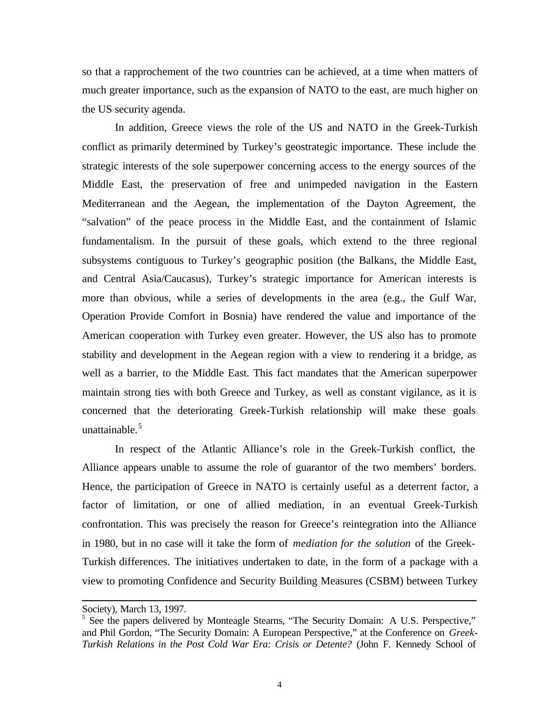so that a rapprochement of the two countries can be achieved, at a time when matters of much greater importance, such as the expansion of NATO to the east, are much higher on the US security agenda.

In addition, Greece views the role of the US and NATO in the Greek-Turkish conflict as primarily determined by Turkey's geostrategic importance. These include the strategic interests of the sole superpower concerning access to the energy sources of the Middle East, the preservation of free and unimpeded navigation in the Eastern Mediterranean and the Aegean, the implementation of the Dayton Agreement, the "salvation" of the peace process in the Middle East, and the containment of Islamic fundamentalism. In the pursuit of these goals, which extend to the three regional subsystems contiguous to Turkey's geographic position (the Balkans, the Middle East, and Central Asia/Caucasus), Turkey's strategic importance for American interests is more than obvious, while a series of developments in the area (e.g., the Gulf War, Operation Provide Comfort in Bosnia) have rendered the value and importance of the American cooperation with Turkey even greater. However, the US also has to promote stability and development in the Aegean region with a view to rendering it a bridge, as well as a barrier, to the Middle East. This fact mandates that the American superpower maintain strong ties with both Greece and Turkey, as well as constant vigilance, as it is concerned that the deteriorating Greek-Turkish relationship will make these goals unattainable. $5$ 

In respect of the Atlantic Alliance's role in the Greek-Turkish conflict, the Alliance appears unable to assume the role of guarantor of the two members' borders. Hence, the participation of Greece in NATO is certainly useful as a deterrent factor, a factor of limitation, or one of allied mediation, in an eventual Greek-Turkish confrontation. This was precisely the reason for Greece's reintegration into the Alliance in 1980, but in no case will it take the form of *mediation for the solution* of the Greek-Turkish differences. The initiatives undertaken to date, in the form of a package with a view to promoting Confidence and Security Building Measures (CSBM) between Turkey

Society), March 13, 1997.

<sup>&</sup>lt;sup>5</sup> See the papers delivered by Monteagle Stearns, "The Security Domain: A U.S. Perspective," and Phil Gordon, "The Security Domain: A European Perspective," at the Conference on *Greek-Turkish Relations in the Post Cold War Era: Crisis or Detente?* (John F. Kennedy School of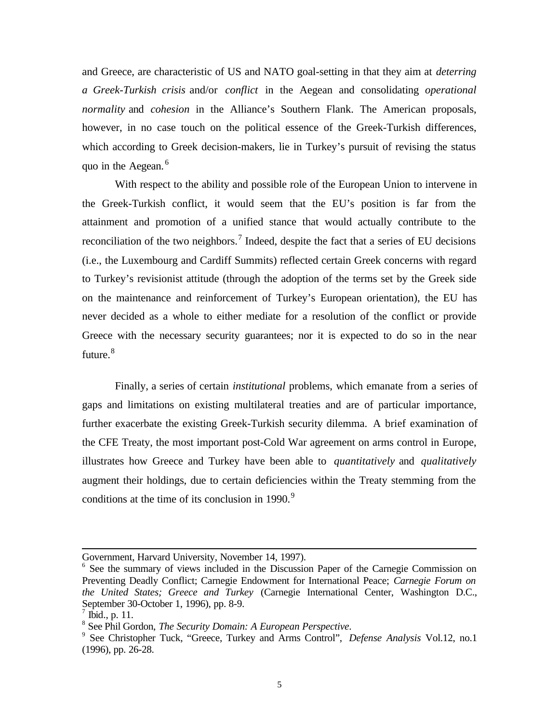and Greece, are characteristic of US and NATO goal-setting in that they aim at *deterring a Greek-Turkish crisis* and/or *conflict* in the Aegean and consolidating *operational normality* and *cohesion* in the Alliance's Southern Flank. The American proposals, however, in no case touch on the political essence of the Greek-Turkish differences, which according to Greek decision-makers, lie in Turkey's pursuit of revising the status quo in the Aegean.<sup>6</sup>

With respect to the ability and possible role of the European Union to intervene in the Greek-Turkish conflict, it would seem that the EU's position is far from the attainment and promotion of a unified stance that would actually contribute to the reconciliation of the two neighbors.<sup>7</sup> Indeed, despite the fact that a series of EU decisions (i.e., the Luxembourg and Cardiff Summits) reflected certain Greek concerns with regard to Turkey's revisionist attitude (through the adoption of the terms set by the Greek side on the maintenance and reinforcement of Turkey's European orientation), the EU has never decided as a whole to either mediate for a resolution of the conflict or provide Greece with the necessary security guarantees; nor it is expected to do so in the near future.<sup>8</sup>

Finally, a series of certain *institutional* problems, which emanate from a series of gaps and limitations on existing multilateral treaties and are of particular importance, further exacerbate the existing Greek-Turkish security dilemma. A brief examination of the CFE Treaty, the most important post-Cold War agreement on arms control in Europe, illustrates how Greece and Turkey have been able to *quantitatively* and *qualitatively* augment their holdings, due to certain deficiencies within the Treaty stemming from the conditions at the time of its conclusion in 1990. $9$ 

Government, Harvard University, November 14, 1997).

<sup>&</sup>lt;sup>6</sup> See the summary of views included in the Discussion Paper of the Carnegie Commission on Preventing Deadly Conflict; Carnegie Endowment for International Peace; *Carnegie Forum on the United States; Greece and Turkey* (Carnegie International Center, Washington D.C., September 30-October 1, 1996), pp. 8-9.

<sup>7</sup> Ibid., p. 11.

<sup>8</sup> See Phil Gordon, *The Security Domain: A European Perspective*.

<sup>9</sup> See Christopher Tuck, "Greece, Turkey and Arms Control", *Defense Analysis* Vol.12, no.1 (1996), pp. 26-28.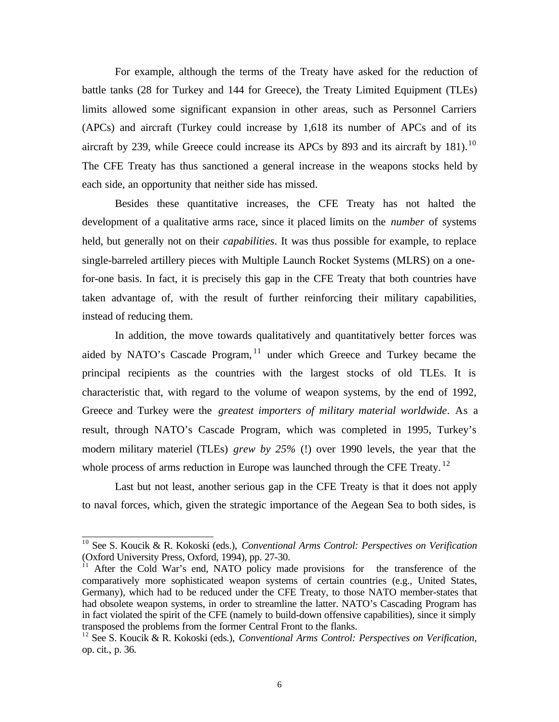For example, although the terms of the Treaty have asked for the reduction of battle tanks (28 for Turkey and 144 for Greece), the Treaty Limited Equipment (TLEs) limits allowed some significant expansion in other areas, such as Personnel Carriers (APCs) and aircraft (Turkey could increase by 1,618 its number of APCs and of its aircraft by 239, while Greece could increase its APCs by 893 and its aircraft by 181).<sup>10</sup> The CFE Treaty has thus sanctioned a general increase in the weapons stocks held by each side, an opportunity that neither side has missed.

Besides these quantitative increases, the CFE Treaty has not halted the development of a qualitative arms race, since it placed limits on the *number* of systems held, but generally not on their *capabilities*. It was thus possible for example, to replace single-barreled artillery pieces with Multiple Launch Rocket Systems (MLRS) on a onefor-one basis. In fact, it is precisely this gap in the CFE Treaty that both countries have taken advantage of, with the result of further reinforcing their military capabilities, instead of reducing them.

In addition, the move towards qualitatively and quantitatively better forces was aided by NATO's Cascade Program, <sup>11</sup> under which Greece and Turkey became the principal recipients as the countries with the largest stocks of old TLEs. It is characteristic that, with regard to the volume of weapon systems, by the end of 1992, Greece and Turkey were the *greatest importers of military material worldwide*. As a result, through NATO's Cascade Program, which was completed in 1995, Turkey's modern military materiel (TLEs) *grew by 25%* (!) over 1990 levels, the year that the whole process of arms reduction in Europe was launched through the CFE Treaty.  $^{12}$ 

Last but not least, another serious gap in the CFE Treaty is that it does not apply to naval forces, which, given the strategic importance of the Aegean Sea to both sides, is

<sup>10</sup> See S. Koucik & R. Kokoski (eds.), *Conventional Arms Control: Perspectives on Verification* (Oxford University Press, Oxford, 1994), pp. 27-30.

<sup>&</sup>lt;sup>11</sup> After the Cold War's end, NATO policy made provisions for the transference of the comparatively more sophisticated weapon systems of certain countries (e.g., United States, Germany), which had to be reduced under the CFE Treaty, to those NATO member-states that had obsolete weapon systems, in order to streamline the latter. NATO's Cascading Program has in fact violated the spirit of the CFE (namely to build-down offensive capabilities), since it simply transposed the problems from the former Central Front to the flanks.

<sup>12</sup> See S. Koucik & R. Kokoski (eds.), *Conventional Arms Control: Perspectives on Verification*, op. cit., p. 36.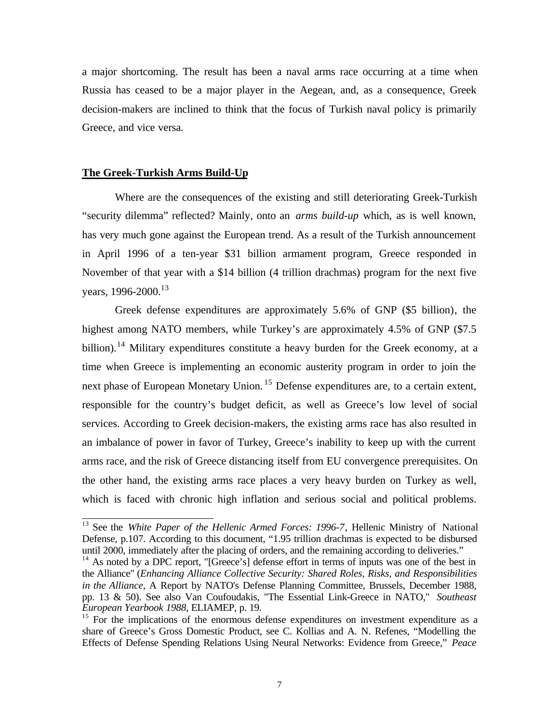a major shortcoming. The result has been a naval arms race occurring at a time when Russia has ceased to be a major player in the Aegean, and, as a consequence, Greek decision-makers are inclined to think that the focus of Turkish naval policy is primarily Greece, and vice versa.

## **The Greek-Turkish Arms Build-Up**

l

Where are the consequences of the existing and still deteriorating Greek-Turkish "security dilemma" reflected? Mainly, onto an *arms build-up* which, as is well known, has very much gone against the European trend. As a result of the Turkish announcement in April 1996 of a ten-year \$31 billion armament program, Greece responded in November of that year with a \$14 billion (4 trillion drachmas) program for the next five years, 1996-2000.<sup>13</sup>

Greek defense expenditures are approximately 5.6% of GNP (\$5 billion), the highest among NATO members, while Turkey's are approximately 4.5% of GNP (\$7.5 billion).<sup>14</sup> Military expenditures constitute a heavy burden for the Greek economy, at a time when Greece is implementing an economic austerity program in order to join the next phase of European Monetary Union.<sup>15</sup> Defense expenditures are, to a certain extent, responsible for the country's budget deficit, as well as Greece's low level of social services. According to Greek decision-makers, the existing arms race has also resulted in an imbalance of power in favor of Turkey, Greece's inability to keep up with the current arms race, and the risk of Greece distancing itself from EU convergence prerequisites. On the other hand, the existing arms race places a very heavy burden on Turkey as well, which is faced with chronic high inflation and serious social and political problems.

<sup>&</sup>lt;sup>13</sup> See the *White Paper of the Hellenic Armed Forces: 1996-7*, Hellenic Ministry of National Defense, p.107. According to this document, "1.95 trillion drachmas is expected to be disbursed until 2000, immediately after the placing of orders, and the remaining according to deliveries."

<sup>&</sup>lt;sup>14</sup> As noted by a DPC report, "[Greece's] defense effort in terms of inputs was one of the best in the Alliance" (*Enhancing Alliance Collective Security: Shared Roles, Risks, and Responsibilities in the Alliance*, A Report by NATO's Defense Planning Committee, Brussels, December 1988, pp. 13 & 50). See also Van Coufoudakis, "The Essential Link-Greece in NATO," *Southeast European Yearbook 1988*, ELIAMEP, p. 19.

 $15$  For the implications of the enormous defense expenditures on investment expenditure as a share of Greece's Gross Domestic Product, see C. Kollias and A. N. Refenes, "Modelling the Effects of Defense Spending Relations Using Neural Networks: Evidence from Greece," *Peace*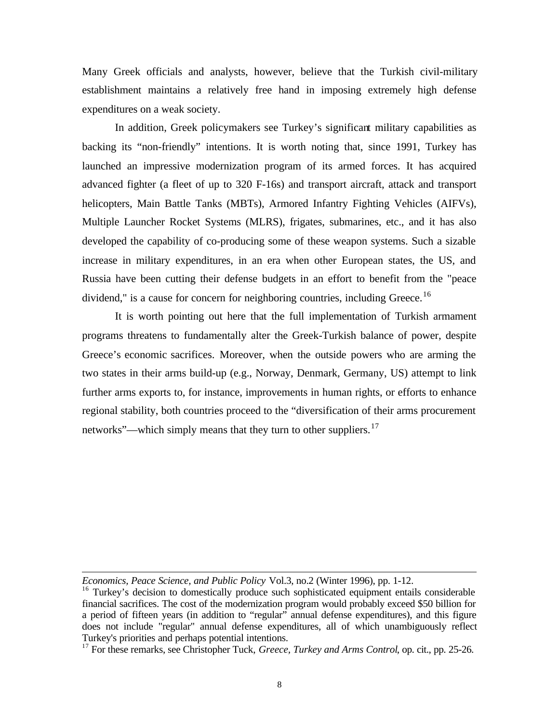Many Greek officials and analysts, however, believe that the Turkish civil-military establishment maintains a relatively free hand in imposing extremely high defense expenditures on a weak society.

In addition, Greek policymakers see Turkey's significant military capabilities as backing its "non-friendly" intentions. It is worth noting that, since 1991, Turkey has launched an impressive modernization program of its armed forces. It has acquired advanced fighter (a fleet of up to 320 F-16s) and transport aircraft, attack and transport helicopters, Main Battle Tanks (MBTs), Armored Infantry Fighting Vehicles (AIFVs), Multiple Launcher Rocket Systems (MLRS), frigates, submarines, etc., and it has also developed the capability of co-producing some of these weapon systems. Such a sizable increase in military expenditures, in an era when other European states, the US, and Russia have been cutting their defense budgets in an effort to benefit from the "peace dividend," is a cause for concern for neighboring countries, including Greece.<sup>16</sup>

It is worth pointing out here that the full implementation of Turkish armament programs threatens to fundamentally alter the Greek-Turkish balance of power, despite Greece's economic sacrifices. Moreover, when the outside powers who are arming the two states in their arms build-up (e.g., Norway, Denmark, Germany, US) attempt to link further arms exports to, for instance, improvements in human rights, or efforts to enhance regional stability, both countries proceed to the "diversification of their arms procurement networks"—which simply means that they turn to other suppliers.<sup>17</sup>

*Economics, Peace Science, and Public Policy* Vol.3, no.2 (Winter 1996), pp. 1-12.

<sup>&</sup>lt;sup>16</sup> Turkey's decision to domestically produce such sophisticated equipment entails considerable financial sacrifices. The cost of the modernization program would probably exceed \$50 billion for a period of fifteen years (in addition to "regular" annual defense expenditures), and this figure does not include "regular" annual defense expenditures, all of which unambiguously reflect Turkey's priorities and perhaps potential intentions.

<sup>&</sup>lt;sup>17</sup> For these remarks, see Christopher Tuck, *Greece, Turkey and Arms Control*, op. cit., pp. 25-26.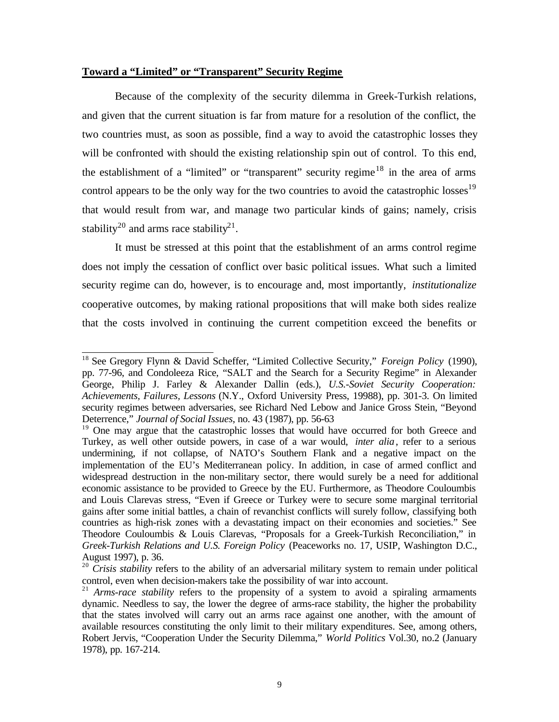## **Toward a "Limited" or "Transparent" Security Regime**

Because of the complexity of the security dilemma in Greek-Turkish relations, and given that the current situation is far from mature for a resolution of the conflict, the two countries must, as soon as possible, find a way to avoid the catastrophic losses they will be confronted with should the existing relationship spin out of control. To this end, the establishment of a "limited" or "transparent" security regime<sup>18</sup> in the area of arms control appears to be the only way for the two countries to avoid the catastrophic losses<sup>19</sup> that would result from war, and manage two particular kinds of gains; namely, crisis stability<sup>20</sup> and arms race stability<sup>21</sup>.

It must be stressed at this point that the establishment of an arms control regime does not imply the cessation of conflict over basic political issues. What such a limited security regime can do, however, is to encourage and, most importantly, *institutionalize* cooperative outcomes, by making rational propositions that will make both sides realize that the costs involved in continuing the current competition exceed the benefits or

l <sup>18</sup> See Gregory Flynn & David Scheffer, "Limited Collective Security," *Foreign Policy* (1990), pp. 77-96, and Condoleeza Rice, "SALT and the Search for a Security Regime" in Alexander George, Philip J. Farley & Alexander Dallin (eds.), *U.S.-Soviet Security Cooperation: Achievements, Failures, Lessons* (N.Y., Oxford University Press, 19988), pp. 301-3. On limited security regimes between adversaries, see Richard Ned Lebow and Janice Gross Stein, "Beyond Deterrence," *Journal of Social Issues*, no. 43 (1987), pp. 56-63

<sup>&</sup>lt;sup>19</sup> One may argue that the catastrophic losses that would have occurred for both Greece and Turkey, as well other outside powers, in case of a war would, *inter alia*, refer to a serious undermining, if not collapse, of NATO's Southern Flank and a negative impact on the implementation of the EU's Mediterranean policy. In addition, in case of armed conflict and widespread destruction in the non-military sector, there would surely be a need for additional economic assistance to be provided to Greece by the EU. Furthermore, as Theodore Couloumbis and Louis Clarevas stress, "Even if Greece or Turkey were to secure some marginal territorial gains after some initial battles, a chain of revanchist conflicts will surely follow, classifying both countries as high-risk zones with a devastating impact on their economies and societies." See Theodore Couloumbis & Louis Clarevas, "Proposals for a Greek-Turkish Reconciliation," in *Greek-Turkish Relations and U.S. Foreign Policy* (Peaceworks no. 17, USIP, Washington D.C., August 1997), p. 36.

<sup>&</sup>lt;sup>20</sup> *Crisis stability* refers to the ability of an adversarial military system to remain under political control, even when decision-makers take the possibility of war into account.

<sup>&</sup>lt;sup>21</sup> *Arms-race stability* refers to the propensity of a system to avoid a spiraling armaments dynamic. Needless to say, the lower the degree of arms-race stability, the higher the probability that the states involved will carry out an arms race against one another, with the amount of available resources constituting the only limit to their military expenditures. See, among others, Robert Jervis, "Cooperation Under the Security Dilemma," *World Politics* Vol.30, no.2 (January 1978), pp. 167-214.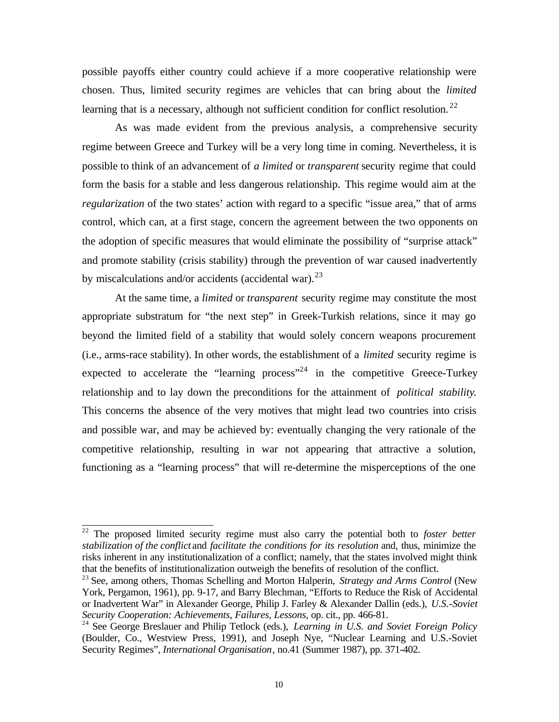possible payoffs either country could achieve if a more cooperative relationship were chosen. Thus, limited security regimes are vehicles that can bring about the *limited* learning that is a necessary, although not sufficient condition for conflict resolution.<sup>22</sup>

As was made evident from the previous analysis, a comprehensive security regime between Greece and Turkey will be a very long time in coming. Nevertheless, it is possible to think of an advancement of *a limited* or *transparent* security regime that could form the basis for a stable and less dangerous relationship. This regime would aim at the *regularization* of the two states' action with regard to a specific "issue area," that of arms control, which can, at a first stage, concern the agreement between the two opponents on the adoption of specific measures that would eliminate the possibility of "surprise attack" and promote stability (crisis stability) through the prevention of war caused inadvertently by miscalculations and/or accidents (accidental war). $^{23}$ 

At the same time, a *limited* or *transparent* security regime may constitute the most appropriate substratum for "the next step" in Greek-Turkish relations, since it may go beyond the limited field of a stability that would solely concern weapons procurement (i.e., arms-race stability). In other words, the establishment of a *limited* security regime is expected to accelerate the "learning process"<sup>24</sup> in the competitive Greece-Turkey relationship and to lay down the preconditions for the attainment of *political stability*. This concerns the absence of the very motives that might lead two countries into crisis and possible war, and may be achieved by: eventually changing the very rationale of the competitive relationship, resulting in war not appearing that attractive a solution, functioning as a "learning process" that will re-determine the misperceptions of the one

<sup>22</sup> The proposed limited security regime must also carry the potential both to *foster better stabilization of the conflict* and *facilitate the conditions for its resolution* and, thus, minimize the risks inherent in any institutionalization of a conflict; namely, that the states involved might think that the benefits of institutionalization outweigh the benefits of resolution of the conflict.

<sup>23</sup> See, among others, Thomas Schelling and Morton Halperin, *Strategy and Arms Control* (New York, Pergamon, 1961), pp. 9-17, and Barry Blechman, "Efforts to Reduce the Risk of Accidental or Inadvertent War" in Alexander George, Philip J. Farley & Alexander Dallin (eds.), *U.S.-Soviet Security Cooperation: Achievements, Failures, Lessons*, op. cit., pp. 466-81.

<sup>24</sup> See George Breslauer and Philip Tetlock (eds.), *Learning in U.S. and Soviet Foreign Policy* (Boulder, Co., Westview Press, 1991), and Joseph Nye, "Nuclear Learning and U.S.-Soviet Security Regimes"*, International Organisation*, no.41 (Summer 1987), pp. 371-402.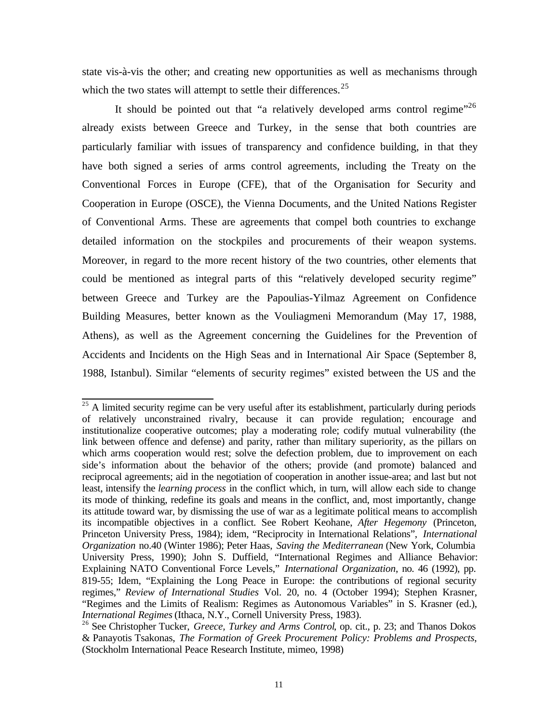state vis-à-vis the other; and creating new opportunities as well as mechanisms through which the two states will attempt to settle their differences. $25$ 

It should be pointed out that "a relatively developed arms control regime"<sup>26</sup> already exists between Greece and Turkey, in the sense that both countries are particularly familiar with issues of transparency and confidence building, in that they have both signed a series of arms control agreements, including the Treaty on the Conventional Forces in Europe (CFE), that of the Organisation for Security and Cooperation in Europe (OSCE), the Vienna Documents, and the United Nations Register of Conventional Arms. These are agreements that compel both countries to exchange detailed information on the stockpiles and procurements of their weapon systems. Moreover, in regard to the more recent history of the two countries, other elements that could be mentioned as integral parts of this "relatively developed security regime" between Greece and Turkey are the Papoulias-Yilmaz Agreement on Confidence Building Measures, better known as the Vouliagmeni Memorandum (May 17, 1988, Athens), as well as the Agreement concerning the Guidelines for the Prevention of Accidents and Incidents on the High Seas and in International Air Space (September 8, 1988, Istanbul). Similar "elements of security regimes" existed between the US and the

l  $25$  A limited security regime can be very useful after its establishment, particularly during periods of relatively unconstrained rivalry, because it can provide regulation; encourage and institutionalize cooperative outcomes; play a moderating role; codify mutual vulnerability (the link between offence and defense) and parity, rather than military superiority, as the pillars on which arms cooperation would rest; solve the defection problem, due to improvement on each side's information about the behavior of the others; provide (and promote) balanced and reciprocal agreements; aid in the negotiation of cooperation in another issue-area; and last but not least, intensify the *learning process* in the conflict which, in turn, will allow each side to change its mode of thinking, redefine its goals and means in the conflict, and, most importantly, change its attitude toward war, by dismissing the use of war as a legitimate political means to accomplish its incompatible objectives in a conflict. See Robert Keohane, *After Hegemony* (Princeton, Princeton University Press, 1984); idem, "Reciprocity in International Relations", *International Organization* no.40 (Winter 1986); Peter Haas, *Saving the Mediterranean* (New York, Columbia University Press, 1990); John S. Duffield, "International Regimes and Alliance Behavior: Explaining NATO Conventional Force Levels," *International Organization*, no. 46 (1992), pp. 819-55; Idem, "Explaining the Long Peace in Europe: the contributions of regional security regimes," *Review of International Studies* Vol. 20, no. 4 (October 1994); Stephen Krasner, "Regimes and the Limits of Realism: Regimes as Autonomous Variables" in S. Krasner (ed.), *International Regimes* (Ithaca, N.Y., Cornell University Press, 1983).

<sup>&</sup>lt;sup>26</sup> See Christopher Tucker, *Greece, Turkey and Arms Control*, op. cit., p. 23; and Thanos Dokos & Panayotis Tsakonas, *The Formation of Greek Procurement Policy: Problems and Prospects*, (Stockholm International Peace Research Institute, mimeo, 1998)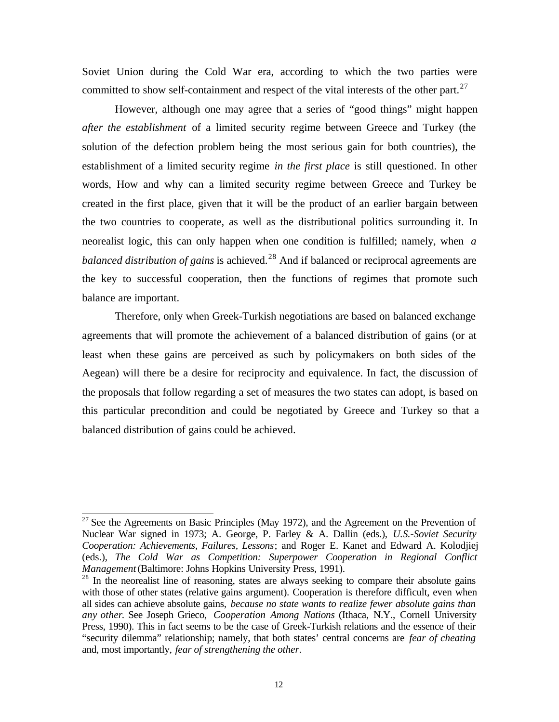Soviet Union during the Cold War era, according to which the two parties were committed to show self-containment and respect of the vital interests of the other part.<sup>27</sup>

However, although one may agree that a series of "good things" might happen *after the establishment* of a limited security regime between Greece and Turkey (the solution of the defection problem being the most serious gain for both countries), the establishment of a limited security regime *in the first place* is still questioned. In other words, How and why can a limited security regime between Greece and Turkey be created in the first place, given that it will be the product of an earlier bargain between the two countries to cooperate, as well as the distributional politics surrounding it. In neorealist logic, this can only happen when one condition is fulfilled; namely, when *a balanced distribution of gains* is achieved.<sup>28</sup> And if balanced or reciprocal agreements are the key to successful cooperation, then the functions of regimes that promote such balance are important.

Therefore, only when Greek-Turkish negotiations are based on balanced exchange agreements that will promote the achievement of a balanced distribution of gains (or at least when these gains are perceived as such by policymakers on both sides of the Aegean) will there be a desire for reciprocity and equivalence. In fact, the discussion of the proposals that follow regarding a set of measures the two states can adopt, is based on this particular precondition and could be negotiated by Greece and Turkey so that a balanced distribution of gains could be achieved.

l  $27$  See the Agreements on Basic Principles (May 1972), and the Agreement on the Prevention of Nuclear War signed in 1973; A. George, P. Farley & A. Dallin (eds.), *U.S.-Soviet Security Cooperation: Achievements, Failures, Lessons*; and Roger E. Kanet and Edward A. Kolodjiej (eds.), *The Cold War as Competition: Superpower Cooperation in Regional Conflict Management* (Baltimore: Johns Hopkins University Press, 1991).

<sup>&</sup>lt;sup>28</sup> In the neorealist line of reasoning, states are always seeking to compare their absolute gains with those of other states (relative gains argument). Cooperation is therefore difficult, even when all sides can achieve absolute gains, *because no state wants to realize fewer absolute gains than any other*. See Joseph Grieco, *Cooperation Among Nations* (Ithaca, N.Y., Cornell University Press, 1990). This in fact seems to be the case of Greek-Turkish relations and the essence of their "security dilemma" relationship; namely, that both states' central concerns are *fear of cheating* and, most importantly, *fear of strengthening the other*.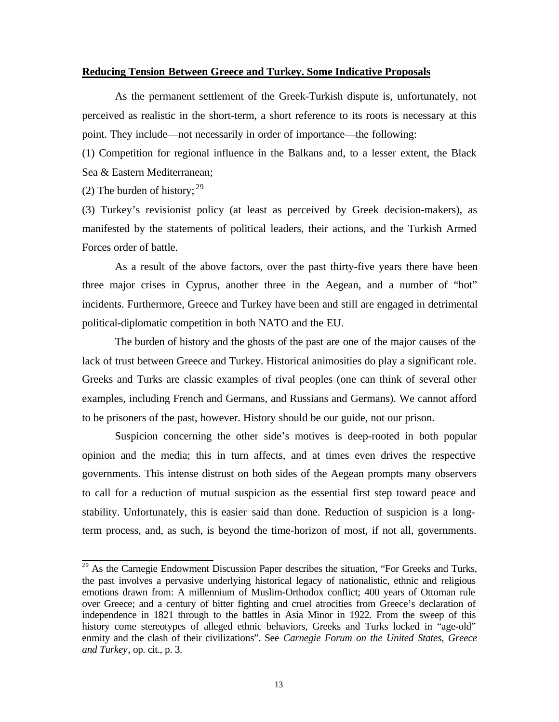## **Reducing Tension Between Greece and Turkey. Some Indicative Proposals**

As the permanent settlement of the Greek-Turkish dispute is, unfortunately, not perceived as realistic in the short-term, a short reference to its roots is necessary at this point. They include—not necessarily in order of importance—the following:

(1) Competition for regional influence in the Balkans and, to a lesser extent, the Black Sea & Eastern Mediterranean;

(2) The burden of history;  $29$ 

l

(3) Turkey's revisionist policy (at least as perceived by Greek decision-makers), as manifested by the statements of political leaders, their actions, and the Turkish Armed Forces order of battle.

As a result of the above factors, over the past thirty-five years there have been three major crises in Cyprus, another three in the Aegean, and a number of "hot" incidents. Furthermore, Greece and Turkey have been and still are engaged in detrimental political-diplomatic competition in both NATO and the EU.

The burden of history and the ghosts of the past are one of the major causes of the lack of trust between Greece and Turkey. Historical animosities do play a significant role. Greeks and Turks are classic examples of rival peoples (one can think of several other examples, including French and Germans, and Russians and Germans). We cannot afford to be prisoners of the past, however. History should be our guide, not our prison.

Suspicion concerning the other side's motives is deep-rooted in both popular opinion and the media; this in turn affects, and at times even drives the respective governments. This intense distrust on both sides of the Aegean prompts many observers to call for a reduction of mutual suspicion as the essential first step toward peace and stability. Unfortunately, this is easier said than done. Reduction of suspicion is a longterm process, and, as such, is beyond the time-horizon of most, if not all, governments.

<sup>&</sup>lt;sup>29</sup> As the Carnegie Endowment Discussion Paper describes the situation, "For Greeks and Turks, the past involves a pervasive underlying historical legacy of nationalistic, ethnic and religious emotions drawn from: A millennium of Muslim-Orthodox conflict; 400 years of Ottoman rule over Greece; and a century of bitter fighting and cruel atrocities from Greece's declaration of independence in 1821 through to the battles in Asia Minor in 1922. From the sweep of this history come stereotypes of alleged ethnic behaviors, Greeks and Turks locked in "age-old" enmity and the clash of their civilizations". See *Carnegie Forum on the United States, Greece and Turkey*, op. cit., p. 3.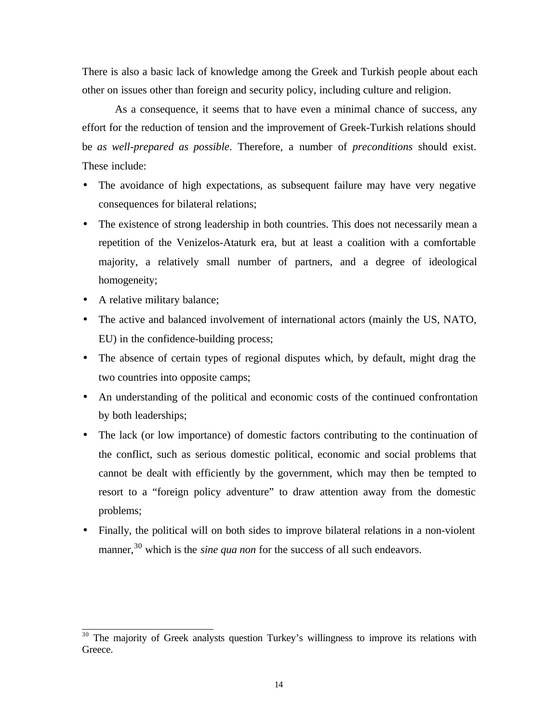There is also a basic lack of knowledge among the Greek and Turkish people about each other on issues other than foreign and security policy, including culture and religion.

As a consequence, it seems that to have even a minimal chance of success, any effort for the reduction of tension and the improvement of Greek-Turkish relations should be *as well-prepared as possible*. Therefore, a number of *preconditions* should exist. These include:

- The avoidance of high expectations, as subsequent failure may have very negative consequences for bilateral relations;
- The existence of strong leadership in both countries. This does not necessarily mean a repetition of the Venizelos-Ataturk era, but at least a coalition with a comfortable majority, a relatively small number of partners, and a degree of ideological homogeneity;
- A relative military balance;

- The active and balanced involvement of international actors (mainly the US, NATO, EU) in the confidence-building process;
- The absence of certain types of regional disputes which, by default, might drag the two countries into opposite camps;
- An understanding of the political and economic costs of the continued confrontation by both leaderships;
- The lack (or low importance) of domestic factors contributing to the continuation of the conflict, such as serious domestic political, economic and social problems that cannot be dealt with efficiently by the government, which may then be tempted to resort to a "foreign policy adventure" to draw attention away from the domestic problems;
- Finally, the political will on both sides to improve bilateral relations in a non-violent manner,<sup>30</sup> which is the *sine qua non* for the success of all such endeavors.

 $30$  The majority of Greek analysts question Turkey's willingness to improve its relations with Greece.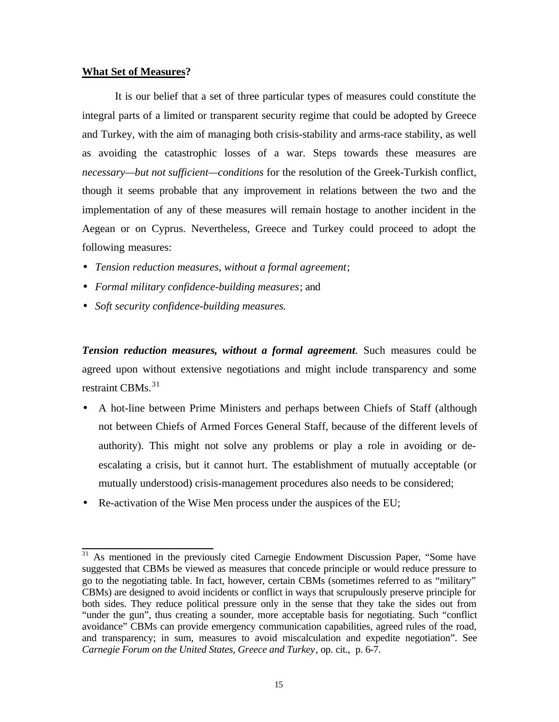## **What Set of Measures?**

It is our belief that a set of three particular types of measures could constitute the integral parts of a limited or transparent security regime that could be adopted by Greece and Turkey, with the aim of managing both crisis-stability and arms-race stability, as well as avoiding the catastrophic losses of a war. Steps towards these measures are *necessary—but not sufficient—conditions* for the resolution of the Greek-Turkish conflict, though it seems probable that any improvement in relations between the two and the implementation of any of these measures will remain hostage to another incident in the Aegean or on Cyprus. Nevertheless, Greece and Turkey could proceed to adopt the following measures:

- *Tension reduction measures, without a formal agreement*;
- *Formal military confidence-building measures*; and
- *Soft security confidence-building measures.*

*Tension reduction measures, without a formal agreement*. Such measures could be agreed upon without extensive negotiations and might include transparency and some restraint CBMs.<sup>31</sup>

- A hot-line between Prime Ministers and perhaps between Chiefs of Staff (although not between Chiefs of Armed Forces General Staff, because of the different levels of authority). This might not solve any problems or play a role in avoiding or deescalating a crisis, but it cannot hurt. The establishment of mutually acceptable (or mutually understood) crisis-management procedures also needs to be considered;
- Re-activation of the Wise Men process under the auspices of the EU;

l As mentioned in the previously cited Carnegie Endowment Discussion Paper, "Some have suggested that CBMs be viewed as measures that concede principle or would reduce pressure to go to the negotiating table. In fact, however, certain CBMs (sometimes referred to as "military" CBMs) are designed to avoid incidents or conflict in ways that scrupulously preserve principle for both sides. They reduce political pressure only in the sense that they take the sides out from "under the gun", thus creating a sounder, more acceptable basis for negotiating. Such "conflict avoidance" CBMs can provide emergency communication capabilities, agreed rules of the road, and transparency; in sum, measures to avoid miscalculation and expedite negotiation". See *Carnegie Forum on the United States, Greece and Turkey*, op. cit., p. 6-7.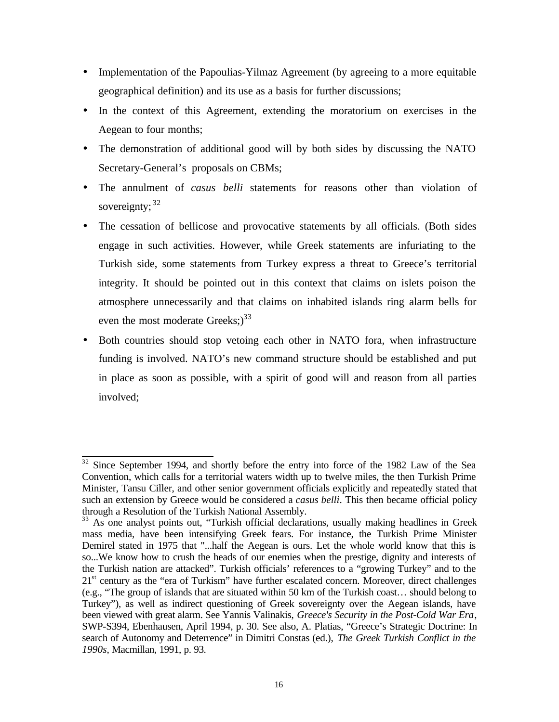- Implementation of the Papoulias-Yilmaz Agreement (by agreeing to a more equitable geographical definition) and its use as a basis for further discussions;
- In the context of this Agreement, extending the moratorium on exercises in the Aegean to four months;
- The demonstration of additional good will by both sides by discussing the NATO Secretary-General's proposals on CBMs;
- The annulment of *casus belli* statements for reasons other than violation of sovereignty;  $32$
- The cessation of bellicose and provocative statements by all officials. (Both sides engage in such activities. However, while Greek statements are infuriating to the Turkish side, some statements from Turkey express a threat to Greece's territorial integrity. It should be pointed out in this context that claims on islets poison the atmosphere unnecessarily and that claims on inhabited islands ring alarm bells for even the most moderate Greeks; $)^{33}$
- Both countries should stop vetoing each other in NATO fora, when infrastructure funding is involved. NATO's new command structure should be established and put in place as soon as possible, with a spirit of good will and reason from all parties involved;

l  $32$  Since September 1994, and shortly before the entry into force of the 1982 Law of the Sea Convention, which calls for a territorial waters width up to twelve miles, the then Turkish Prime Minister, Tansu Ciller, and other senior government officials explicitly and repeatedly stated that such an extension by Greece would be considered a *casus belli*. This then became official policy through a Resolution of the Turkish National Assembly.

<sup>&</sup>lt;sup>33</sup> As one analyst points out, "Turkish official declarations, usually making headlines in Greek mass media, have been intensifying Greek fears. For instance, the Turkish Prime Minister Demirel stated in 1975 that "...half the Aegean is ours. Let the whole world know that this is so...We know how to crush the heads of our enemies when the prestige, dignity and interests of the Turkish nation are attacked". Turkish officials' references to a "growing Turkey" and to the  $21<sup>st</sup>$  century as the "era of Turkism" have further escalated concern. Moreover, direct challenges (e.g., "The group of islands that are situated within 50 km of the Turkish coast… should belong to Turkey"), as well as indirect questioning of Greek sovereignty over the Aegean islands, have been viewed with great alarm. See Yannis Valinakis, *Greece's Security in the Post-Cold War Era*, SWP-S394, Ebenhausen, April 1994, p. 30. See also, A. Platias, "Greece's Strategic Doctrine: In search of Autonomy and Deterrence" in Dimitri Constas (ed.), *The Greek Turkish Conflict in the 1990s*, Macmillan, 1991, p. 93.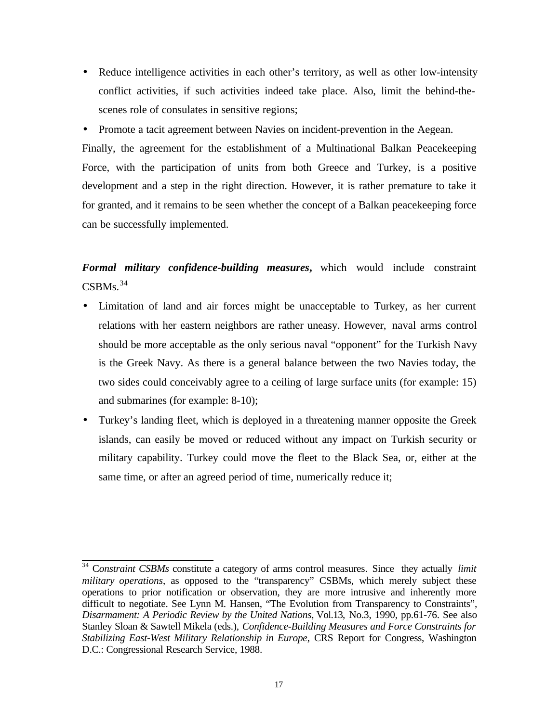- Reduce intelligence activities in each other's territory, as well as other low-intensity conflict activities, if such activities indeed take place. Also, limit the behind-thescenes role of consulates in sensitive regions;
- Promote a tacit agreement between Navies on incident-prevention in the Aegean.

Finally, the agreement for the establishment of a Multinational Balkan Peacekeeping Force, with the participation of units from both Greece and Turkey, is a positive development and a step in the right direction. However, it is rather premature to take it for granted, and it remains to be seen whether the concept of a Balkan peacekeeping force can be successfully implemented.

*Formal military confidence-building measures***,** which would include constraint  $CSBMs.<sup>34</sup>$ 

- Limitation of land and air forces might be unacceptable to Turkey, as her current relations with her eastern neighbors are rather uneasy. However, naval arms control should be more acceptable as the only serious naval "opponent" for the Turkish Navy is the Greek Navy. As there is a general balance between the two Navies today, the two sides could conceivably agree to a ceiling of large surface units (for example: 15) and submarines (for example: 8-10);
- Turkey's landing fleet, which is deployed in a threatening manner opposite the Greek islands, can easily be moved or reduced without any impact on Turkish security or military capability. Turkey could move the fleet to the Black Sea, or, either at the same time, or after an agreed period of time, numerically reduce it;

<sup>34</sup> C*onstraint CSBMs* constitute a category of arms control measures. Since they actually *limit military operations*, as opposed to the "transparency" CSBMs, which merely subject these operations to prior notification or observation, they are more intrusive and inherently more difficult to negotiate. See Lynn M. Hansen, "The Evolution from Transparency to Constraints", *Disarmament: A Periodic Review by the United Nations*, Vol.13, No.3, 1990, pp.61-76. See also Stanley Sloan & Sawtell Mikela (eds.), *Confidence-Building Measures and Force Constraints for Stabilizing East-West Military Relationship in Europe*, CRS Report for Congress, Washington D.C.: Congressional Research Service, 1988.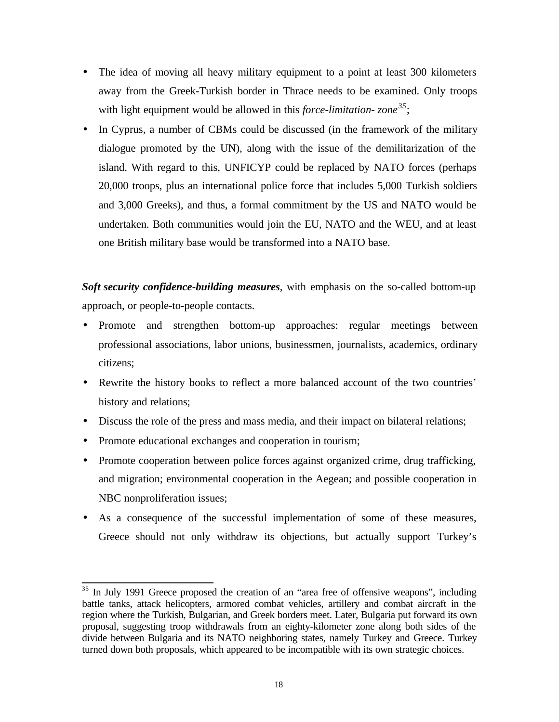- The idea of moving all heavy military equipment to a point at least 300 kilometers away from the Greek-Turkish border in Thrace needs to be examined. Only troops with light equipment would be allowed in this *force-limitation- zone<sup>35</sup>*;
- In Cyprus, a number of CBMs could be discussed (in the framework of the military dialogue promoted by the UN), along with the issue of the demilitarization of the island. With regard to this, UNFICYP could be replaced by NATO forces (perhaps 20,000 troops, plus an international police force that includes 5,000 Turkish soldiers and 3,000 Greeks), and thus, a formal commitment by the US and NATO would be undertaken. Both communities would join the EU, NATO and the WEU, and at least one British military base would be transformed into a NATO base.

*Soft security confidence-building measures*, with emphasis on the so-called bottom-up approach, or people-to-people contacts.

- Promote and strengthen bottom-up approaches: regular meetings between professional associations, labor unions, businessmen, journalists, academics, ordinary citizens;
- Rewrite the history books to reflect a more balanced account of the two countries' history and relations;
- Discuss the role of the press and mass media, and their impact on bilateral relations;
- Promote educational exchanges and cooperation in tourism;

- Promote cooperation between police forces against organized crime, drug trafficking, and migration; environmental cooperation in the Aegean; and possible cooperation in NBC nonproliferation issues;
- As a consequence of the successful implementation of some of these measures, Greece should not only withdraw its objections, but actually support Turkey's

 $35$  In July 1991 Greece proposed the creation of an "area free of offensive weapons", including battle tanks, attack helicopters, armored combat vehicles, artillery and combat aircraft in the region where the Turkish, Bulgarian, and Greek borders meet. Later, Bulgaria put forward its own proposal, suggesting troop withdrawals from an eighty-kilometer zone along both sides of the divide between Bulgaria and its NATO neighboring states, namely Turkey and Greece. Turkey turned down both proposals, which appeared to be incompatible with its own strategic choices.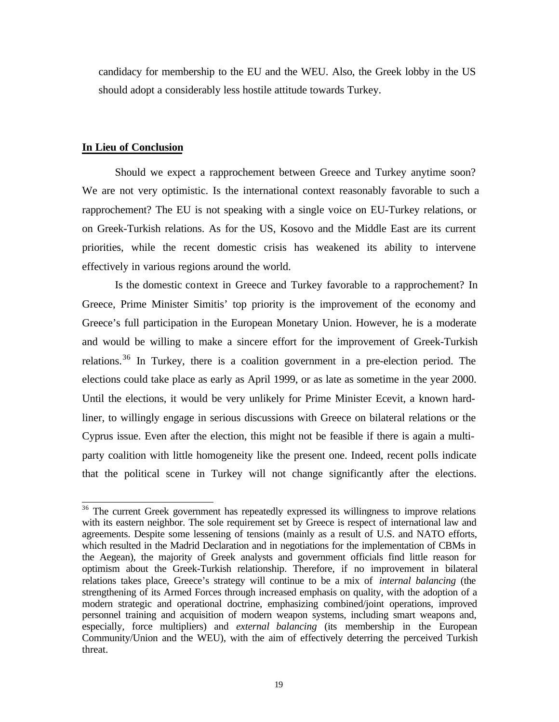candidacy for membership to the EU and the WEU. Also, the Greek lobby in the US should adopt a considerably less hostile attitude towards Turkey.

## **In Lieu of Conclusion**

Should we expect a rapprochement between Greece and Turkey anytime soon? We are not very optimistic. Is the international context reasonably favorable to such a rapprochement? The EU is not speaking with a single voice on EU-Turkey relations, or on Greek-Turkish relations. As for the US, Kosovo and the Middle East are its current priorities, while the recent domestic crisis has weakened its ability to intervene effectively in various regions around the world.

Is the domestic context in Greece and Turkey favorable to a rapprochement? In Greece, Prime Minister Simitis' top priority is the improvement of the economy and Greece's full participation in the European Monetary Union. However, he is a moderate and would be willing to make a sincere effort for the improvement of Greek-Turkish relations.<sup>36</sup> In Turkey, there is a coalition government in a pre-election period. The elections could take place as early as April 1999, or as late as sometime in the year 2000. Until the elections, it would be very unlikely for Prime Minister Ecevit, a known hardliner, to willingly engage in serious discussions with Greece on bilateral relations or the Cyprus issue. Even after the election, this might not be feasible if there is again a multiparty coalition with little homogeneity like the present one. Indeed, recent polls indicate that the political scene in Turkey will not change significantly after the elections.

l  $36$  The current Greek government has repeatedly expressed its willingness to improve relations with its eastern neighbor. The sole requirement set by Greece is respect of international law and agreements. Despite some lessening of tensions (mainly as a result of U.S. and NATO efforts, which resulted in the Madrid Declaration and in negotiations for the implementation of CBMs in the Aegean), the majority of Greek analysts and government officials find little reason for optimism about the Greek-Turkish relationship. Therefore, if no improvement in bilateral relations takes place, Greece's strategy will continue to be a mix of *internal balancing* (the strengthening of its Armed Forces through increased emphasis on quality, with the adoption of a modern strategic and operational doctrine, emphasizing combined/joint operations, improved personnel training and acquisition of modern weapon systems, including smart weapons and, especially, force multipliers) and *external balancing* (its membership in the European Community/Union and the WEU), with the aim of effectively deterring the perceived Turkish threat.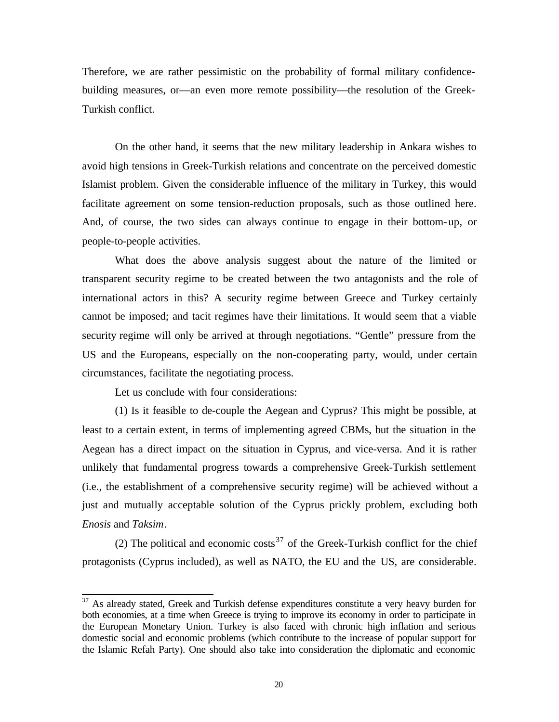Therefore, we are rather pessimistic on the probability of formal military confidencebuilding measures, or—an even more remote possibility—the resolution of the Greek-Turkish conflict.

On the other hand, it seems that the new military leadership in Ankara wishes to avoid high tensions in Greek-Turkish relations and concentrate on the perceived domestic Islamist problem. Given the considerable influence of the military in Turkey, this would facilitate agreement on some tension-reduction proposals, such as those outlined here. And, of course, the two sides can always continue to engage in their bottom-up, or people-to-people activities.

What does the above analysis suggest about the nature of the limited or transparent security regime to be created between the two antagonists and the role of international actors in this? A security regime between Greece and Turkey certainly cannot be imposed; and tacit regimes have their limitations. It would seem that a viable security regime will only be arrived at through negotiations. "Gentle" pressure from the US and the Europeans, especially on the non-cooperating party, would, under certain circumstances, facilitate the negotiating process.

Let us conclude with four considerations:

l

(1) Is it feasible to de-couple the Aegean and Cyprus? This might be possible, at least to a certain extent, in terms of implementing agreed CBMs, but the situation in the Aegean has a direct impact on the situation in Cyprus, and vice-versa. And it is rather unlikely that fundamental progress towards a comprehensive Greek-Turkish settlement (i.e., the establishment of a comprehensive security regime) will be achieved without a just and mutually acceptable solution of the Cyprus prickly problem, excluding both *Enosis* and *Taksim*.

(2) The political and economic costs<sup>37</sup> of the Greek-Turkish conflict for the chief protagonists (Cyprus included), as well as NATO, the EU and the US, are considerable.

 $37$  As already stated, Greek and Turkish defense expenditures constitute a very heavy burden for both economies, at a time when Greece is trying to improve its economy in order to participate in the European Monetary Union. Turkey is also faced with chronic high inflation and serious domestic social and economic problems (which contribute to the increase of popular support for the Islamic Refah Party). One should also take into consideration the diplomatic and economic